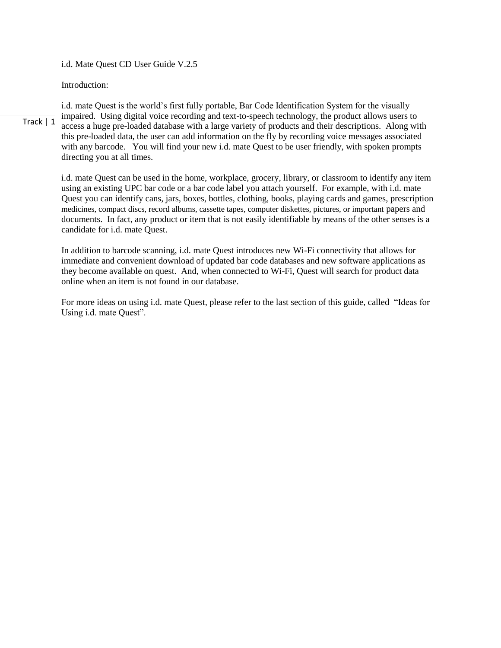i.d. Mate Quest CD User Guide V.2.5

Introduction:

Track | 1 i.d. mate Quest is the world's first fully portable, Bar Code Identification System for the visually impaired. Using digital voice recording and text-to-speech technology, the product allows users to access a huge pre-loaded database with a large variety of products and their descriptions. Along with this pre-loaded data, the user can add information on the fly by recording voice messages associated with any barcode. You will find your new i.d. mate Quest to be user friendly, with spoken prompts directing you at all times.

i.d. mate Quest can be used in the home, workplace, grocery, library, or classroom to identify any item using an existing UPC bar code or a bar code label you attach yourself. For example, with i.d. mate Quest you can identify cans, jars, boxes, bottles, clothing, books, playing cards and games, prescription medicines, compact discs, record albums, cassette tapes, computer diskettes, pictures, or important papers and documents. In fact, any product or item that is not easily identifiable by means of the other senses is a candidate for i.d. mate Quest.

In addition to barcode scanning, i.d. mate Quest introduces new Wi-Fi connectivity that allows for immediate and convenient download of updated bar code databases and new software applications as they become available on quest. And, when connected to Wi-Fi, Quest will search for product data online when an item is not found in our database.

For more ideas on using i.d. mate Quest, please refer to the last section of this guide, called "Ideas for Using i.d. mate Quest".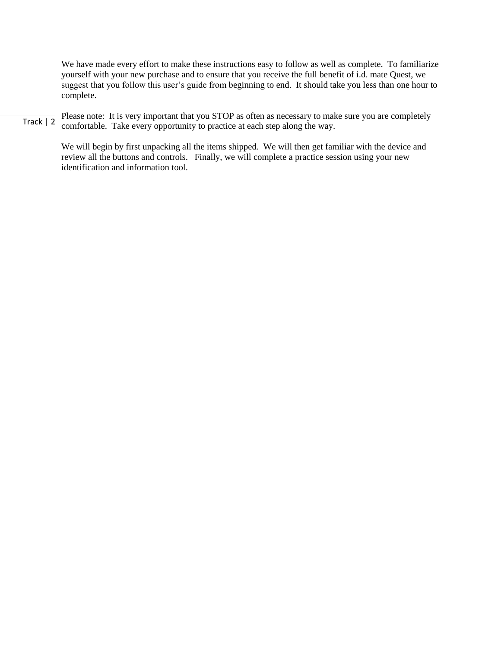We have made every effort to make these instructions easy to follow as well as complete. To familiarize yourself with your new purchase and to ensure that you receive the full benefit of i.d. mate Quest, we suggest that you follow this user's guide from beginning to end. It should take you less than one hour to complete.

Track | 2 Please note: It is very important that you STOP as often as necessary to make sure you are completely comfortable. Take every opportunity to practice at each step along the way.

> We will begin by first unpacking all the items shipped. We will then get familiar with the device and review all the buttons and controls. Finally, we will complete a practice session using your new identification and information tool.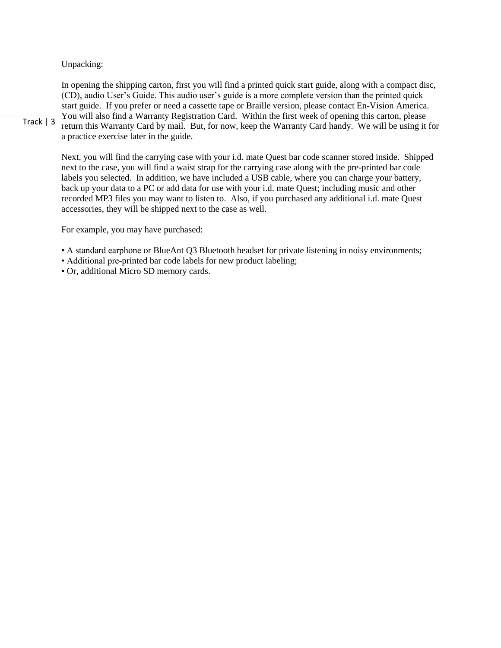# Unpacking:

In opening the shipping carton, first you will find a printed quick start guide, along with a compact disc, (CD), audio User's Guide. This audio user's guide is a more complete version than the printed quick start guide. If you prefer or need a cassette tape or Braille version, please contact En-Vision America. You will also find a Warranty Registration Card. Within the first week of opening this carton, please return this Warranty Card by mail. But, for now, keep the Warranty Card handy. We will be using it for a practice exercise later in the guide.

Track | 3

Next, you will find the carrying case with your i.d. mate Quest bar code scanner stored inside. Shipped next to the case, you will find a waist strap for the carrying case along with the pre-printed bar code labels you selected. In addition, we have included a USB cable, where you can charge your battery, back up your data to a PC or add data for use with your i.d. mate Quest; including music and other recorded MP3 files you may want to listen to. Also, if you purchased any additional i.d. mate Quest accessories, they will be shipped next to the case as well.

For example, you may have purchased:

• A standard earphone or BlueAnt Q3 Bluetooth headset for private listening in noisy environments;

• Additional pre-printed bar code labels for new product labeling;

• Or, additional Micro SD memory cards.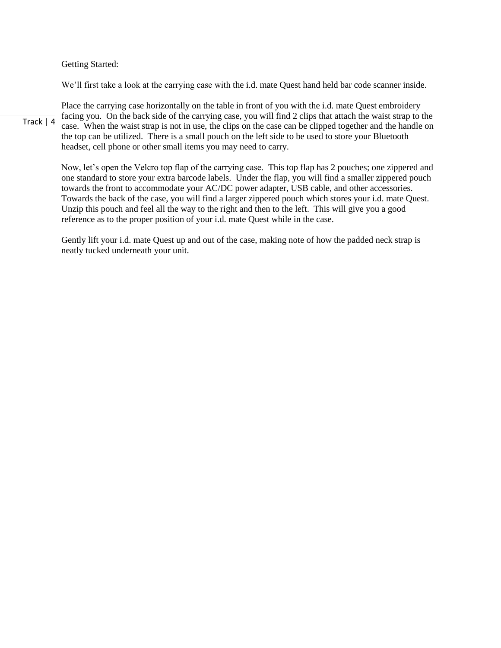Getting Started:

We'll first take a look at the carrying case with the i.d. mate Quest hand held bar code scanner inside.

Track | 4 Place the carrying case horizontally on the table in front of you with the i.d. mate Quest embroidery facing you. On the back side of the carrying case, you will find 2 clips that attach the waist strap to the case. When the waist strap is not in use, the clips on the case can be clipped together and the handle on the top can be utilized. There is a small pouch on the left side to be used to store your Bluetooth headset, cell phone or other small items you may need to carry.

Now, let's open the Velcro top flap of the carrying case. This top flap has 2 pouches; one zippered and one standard to store your extra barcode labels. Under the flap, you will find a smaller zippered pouch towards the front to accommodate your AC/DC power adapter, USB cable, and other accessories. Towards the back of the case, you will find a larger zippered pouch which stores your i.d. mate Quest. Unzip this pouch and feel all the way to the right and then to the left. This will give you a good reference as to the proper position of your i.d. mate Quest while in the case.

Gently lift your i.d. mate Quest up and out of the case, making note of how the padded neck strap is neatly tucked underneath your unit.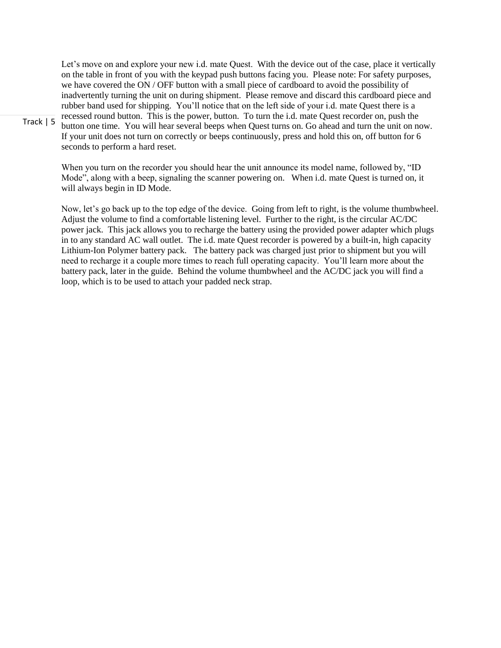Let's move on and explore your new i.d. mate Quest. With the device out of the case, place it vertically on the table in front of you with the keypad push buttons facing you. Please note: For safety purposes, we have covered the ON / OFF button with a small piece of cardboard to avoid the possibility of inadvertently turning the unit on during shipment. Please remove and discard this cardboard piece and rubber band used for shipping. You'll notice that on the left side of your i.d. mate Quest there is a recessed round button. This is the power, button. To turn the i.d. mate Quest recorder on, push the button one time. You will hear several beeps when Quest turns on. Go ahead and turn the unit on now. If your unit does not turn on correctly or beeps continuously, press and hold this on, off button for 6 seconds to perform a hard reset.

When you turn on the recorder you should hear the unit announce its model name, followed by, "ID Mode", along with a beep, signaling the scanner powering on. When i.d. mate Quest is turned on, it will always begin in ID Mode.

Now, let's go back up to the top edge of the device. Going from left to right, is the volume thumbwheel. Adjust the volume to find a comfortable listening level. Further to the right, is the circular AC/DC power jack. This jack allows you to recharge the battery using the provided power adapter which plugs in to any standard AC wall outlet. The i.d. mate Quest recorder is powered by a built-in, high capacity Lithium-Ion Polymer battery pack. The battery pack was charged just prior to shipment but you will need to recharge it a couple more times to reach full operating capacity. You'll learn more about the battery pack, later in the guide. Behind the volume thumbwheel and the AC/DC jack you will find a loop, which is to be used to attach your padded neck strap.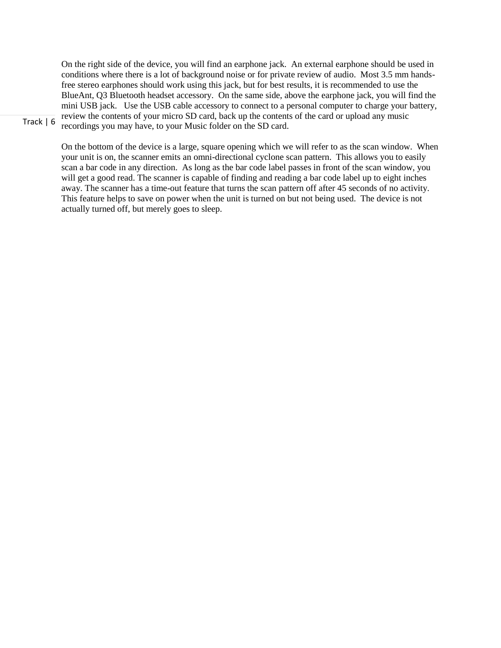On the right side of the device, you will find an earphone jack. An external earphone should be used in conditions where there is a lot of background noise or for private review of audio. Most 3.5 mm handsfree stereo earphones should work using this jack, but for best results, it is recommended to use the BlueAnt, Q3 Bluetooth headset accessory. On the same side, above the earphone jack, you will find the mini USB jack. Use the USB cable accessory to connect to a personal computer to charge your battery, review the contents of your micro SD card, back up the contents of the card or upload any music recordings you may have, to your Music folder on the SD card.

Track | 6

On the bottom of the device is a large, square opening which we will refer to as the scan window. When your unit is on, the scanner emits an omni-directional cyclone scan pattern. This allows you to easily scan a bar code in any direction. As long as the bar code label passes in front of the scan window, you will get a good read. The scanner is capable of finding and reading a bar code label up to eight inches away. The scanner has a time-out feature that turns the scan pattern off after 45 seconds of no activity. This feature helps to save on power when the unit is turned on but not being used. The device is not actually turned off, but merely goes to sleep.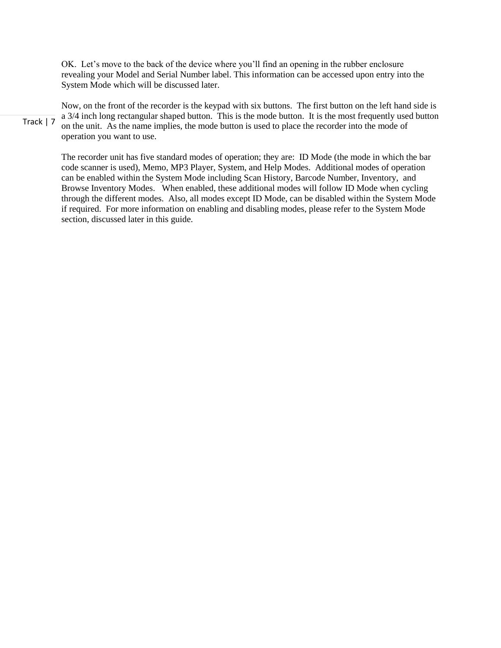OK. Let's move to the back of the device where you'll find an opening in the rubber enclosure revealing your Model and Serial Number label. This information can be accessed upon entry into the System Mode which will be discussed later.

Track | 7

Now, on the front of the recorder is the keypad with six buttons. The first button on the left hand side is a 3/4 inch long rectangular shaped button. This is the mode button. It is the most frequently used button on the unit. As the name implies, the mode button is used to place the recorder into the mode of operation you want to use.

The recorder unit has five standard modes of operation; they are: ID Mode (the mode in which the bar code scanner is used), Memo, MP3 Player, System, and Help Modes. Additional modes of operation can be enabled within the System Mode including Scan History, Barcode Number, Inventory, and Browse Inventory Modes. When enabled, these additional modes will follow ID Mode when cycling through the different modes. Also, all modes except ID Mode, can be disabled within the System Mode if required. For more information on enabling and disabling modes, please refer to the System Mode section, discussed later in this guide.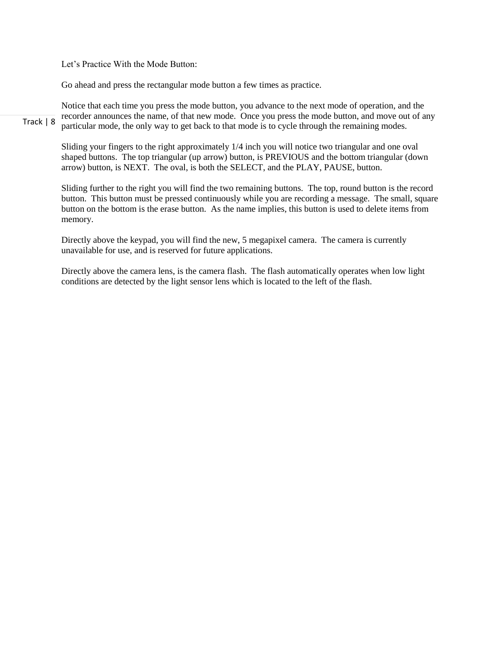Let's Practice With the Mode Button:

Go ahead and press the rectangular mode button a few times as practice.

Track | 8 Notice that each time you press the mode button, you advance to the next mode of operation, and the recorder announces the name, of that new mode. Once you press the mode button, and move out of any particular mode, the only way to get back to that mode is to cycle through the remaining modes.

Sliding your fingers to the right approximately 1/4 inch you will notice two triangular and one oval shaped buttons. The top triangular (up arrow) button, is PREVIOUS and the bottom triangular (down arrow) button, is NEXT. The oval, is both the SELECT, and the PLAY, PAUSE, button.

Sliding further to the right you will find the two remaining buttons. The top, round button is the record button. This button must be pressed continuously while you are recording a message. The small, square button on the bottom is the erase button. As the name implies, this button is used to delete items from memory.

Directly above the keypad, you will find the new, 5 megapixel camera. The camera is currently unavailable for use, and is reserved for future applications.

Directly above the camera lens, is the camera flash. The flash automatically operates when low light conditions are detected by the light sensor lens which is located to the left of the flash.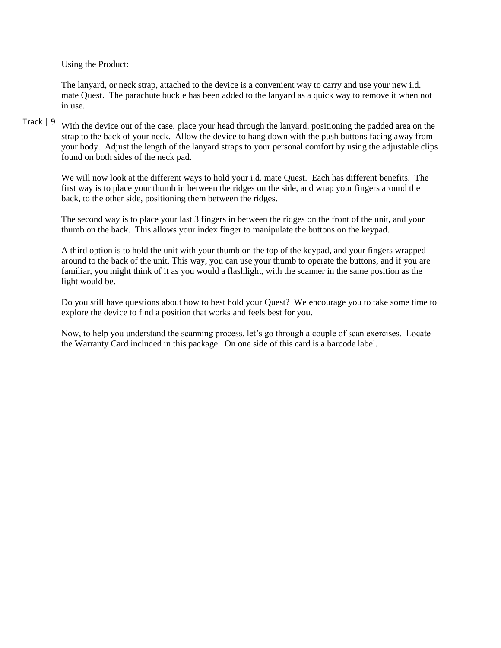Using the Product:

The lanyard, or neck strap, attached to the device is a convenient way to carry and use your new i.d. mate Quest. The parachute buckle has been added to the lanyard as a quick way to remove it when not in use.

### Track | 9 With the device out of the case, place your head through the lanyard, positioning the padded area on the strap to the back of your neck. Allow the device to hang down with the push buttons facing away from your body. Adjust the length of the lanyard straps to your personal comfort by using the adjustable clips found on both sides of the neck pad.

We will now look at the different ways to hold your i.d. mate Quest. Each has different benefits. The first way is to place your thumb in between the ridges on the side, and wrap your fingers around the back, to the other side, positioning them between the ridges.

The second way is to place your last 3 fingers in between the ridges on the front of the unit, and your thumb on the back. This allows your index finger to manipulate the buttons on the keypad.

A third option is to hold the unit with your thumb on the top of the keypad, and your fingers wrapped around to the back of the unit. This way, you can use your thumb to operate the buttons, and if you are familiar, you might think of it as you would a flashlight, with the scanner in the same position as the light would be.

Do you still have questions about how to best hold your Quest? We encourage you to take some time to explore the device to find a position that works and feels best for you.

Now, to help you understand the scanning process, let's go through a couple of scan exercises. Locate the Warranty Card included in this package. On one side of this card is a barcode label.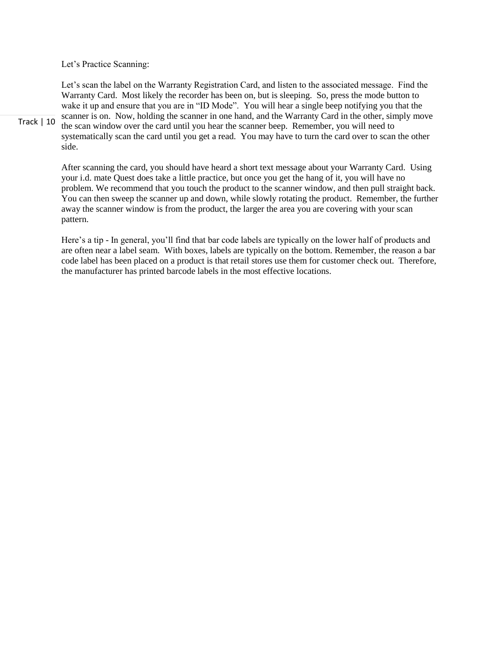Let's Practice Scanning:

Let's scan the label on the Warranty Registration Card, and listen to the associated message. Find the Warranty Card. Most likely the recorder has been on, but is sleeping. So, press the mode button to wake it up and ensure that you are in "ID Mode". You will hear a single beep notifying you that the scanner is on. Now, holding the scanner in one hand, and the Warranty Card in the other, simply move the scan window over the card until you hear the scanner beep. Remember, you will need to systematically scan the card until you get a read. You may have to turn the card over to scan the other side.

After scanning the card, you should have heard a short text message about your Warranty Card. Using your i.d. mate Quest does take a little practice, but once you get the hang of it, you will have no problem. We recommend that you touch the product to the scanner window, and then pull straight back. You can then sweep the scanner up and down, while slowly rotating the product. Remember, the further away the scanner window is from the product, the larger the area you are covering with your scan pattern.

Here's a tip - In general, you'll find that bar code labels are typically on the lower half of products and are often near a label seam. With boxes, labels are typically on the bottom. Remember, the reason a bar code label has been placed on a product is that retail stores use them for customer check out. Therefore, the manufacturer has printed barcode labels in the most effective locations.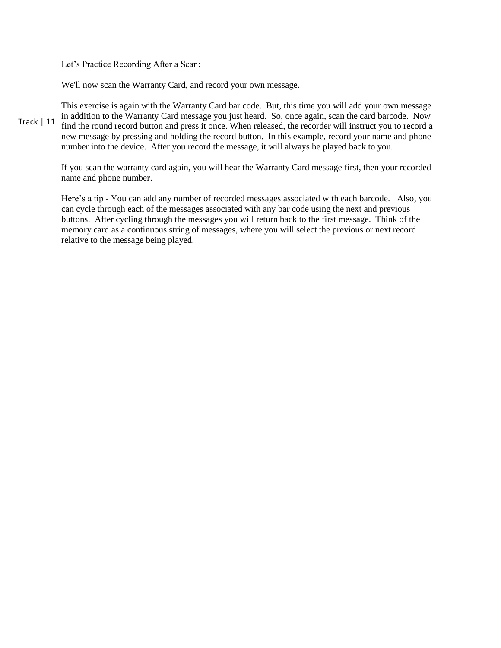Let's Practice Recording After a Scan:

We'll now scan the Warranty Card, and record your own message.

Track | 11 This exercise is again with the Warranty Card bar code. But, this time you will add your own message in addition to the Warranty Card message you just heard. So, once again, scan the card barcode. Now find the round record button and press it once. When released, the recorder will instruct you to record a new message by pressing and holding the record button. In this example, record your name and phone number into the device. After you record the message, it will always be played back to you.

> If you scan the warranty card again, you will hear the Warranty Card message first, then your recorded name and phone number.

> Here's a tip - You can add any number of recorded messages associated with each barcode. Also, you can cycle through each of the messages associated with any bar code using the next and previous buttons. After cycling through the messages you will return back to the first message. Think of the memory card as a continuous string of messages, where you will select the previous or next record relative to the message being played.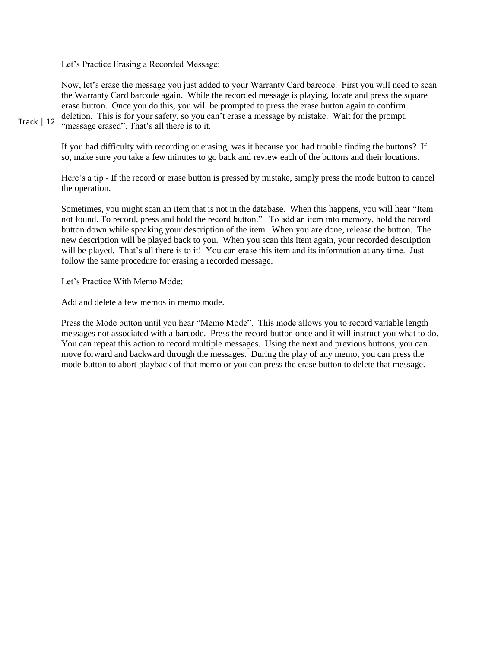Let's Practice Erasing a Recorded Message:

Track | 12 Now, let's erase the message you just added to your Warranty Card barcode. First you will need to scan the Warranty Card barcode again. While the recorded message is playing, locate and press the square erase button. Once you do this, you will be prompted to press the erase button again to confirm deletion. This is for your safety, so you can't erase a message by mistake. Wait for the prompt, "message erased". That's all there is to it.

> If you had difficulty with recording or erasing, was it because you had trouble finding the buttons? If so, make sure you take a few minutes to go back and review each of the buttons and their locations.

Here's a tip - If the record or erase button is pressed by mistake, simply press the mode button to cancel the operation.

Sometimes, you might scan an item that is not in the database. When this happens, you will hear "Item not found. To record, press and hold the record button." To add an item into memory, hold the record button down while speaking your description of the item. When you are done, release the button. The new description will be played back to you. When you scan this item again, your recorded description will be played. That's all there is to it! You can erase this item and its information at any time. Just follow the same procedure for erasing a recorded message.

Let's Practice With Memo Mode:

Add and delete a few memos in memo mode.

Press the Mode button until you hear "Memo Mode". This mode allows you to record variable length messages not associated with a barcode. Press the record button once and it will instruct you what to do. You can repeat this action to record multiple messages. Using the next and previous buttons, you can move forward and backward through the messages. During the play of any memo, you can press the mode button to abort playback of that memo or you can press the erase button to delete that message.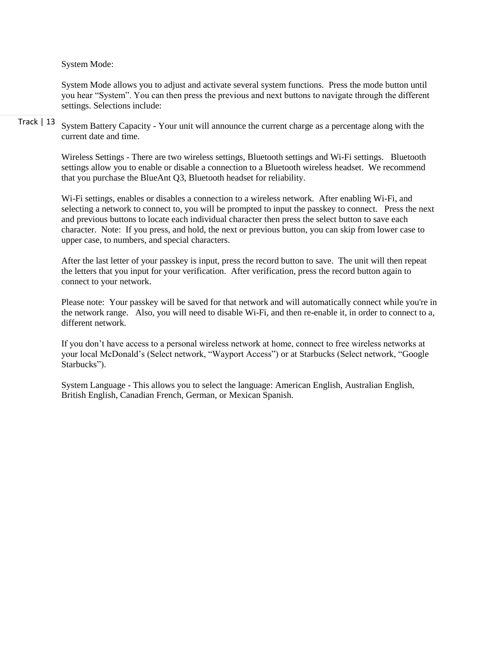System Mode:

System Mode allows you to adjust and activate several system functions. Press the mode button until you hear "System". You can then press the previous and next buttons to navigate through the different settings. Selections include:

Track | 13 System Battery Capacity - Your unit will announce the current charge as a percentage along with the current date and time.

> Wireless Settings - There are two wireless settings, Bluetooth settings and Wi-Fi settings. Bluetooth settings allow you to enable or disable a connection to a Bluetooth wireless headset. We recommend that you purchase the BlueAnt Q3, Bluetooth headset for reliability.

Wi-Fi settings, enables or disables a connection to a wireless network. After enabling Wi-Fi, and selecting a network to connect to, you will be prompted to input the passkey to connect. Press the next and previous buttons to locate each individual character then press the select button to save each character. Note: If you press, and hold, the next or previous button, you can skip from lower case to upper case, to numbers, and special characters.

After the last letter of your passkey is input, press the record button to save. The unit will then repeat the letters that you input for your verification. After verification, press the record button again to connect to your network.

Please note: Your passkey will be saved for that network and will automatically connect while you're in the network range. Also, you will need to disable Wi-Fi, and then re-enable it, in order to connect to a, different network.

If you don't have access to a personal wireless network at home, connect to free wireless networks at your local McDonald's (Select network, "Wayport Access") or at Starbucks (Select network, "Google Starbucks").

System Language - This allows you to select the language: American English, Australian English, British English, Canadian French, German, or Mexican Spanish.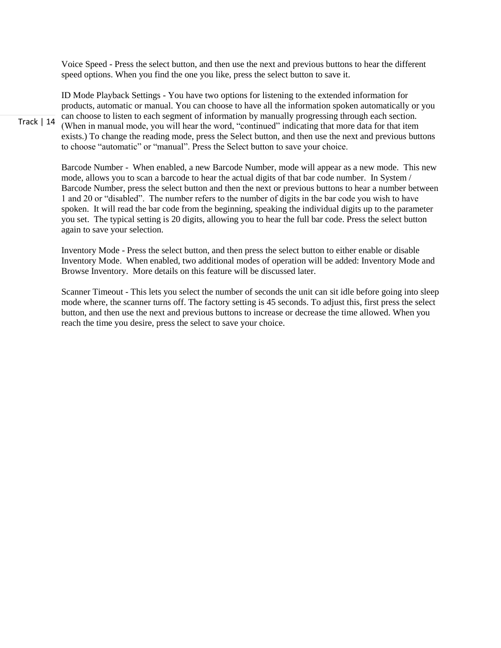Voice Speed - Press the select button, and then use the next and previous buttons to hear the different speed options. When you find the one you like, press the select button to save it.

ID Mode Playback Settings - You have two options for listening to the extended information for products, automatic or manual. You can choose to have all the information spoken automatically or you can choose to listen to each segment of information by manually progressing through each section. (When in manual mode, you will hear the word, "continued" indicating that more data for that item exists.) To change the reading mode, press the Select button, and then use the next and previous buttons to choose "automatic" or "manual". Press the Select button to save your choice.

Barcode Number - When enabled, a new Barcode Number, mode will appear as a new mode. This new mode, allows you to scan a barcode to hear the actual digits of that bar code number. In System / Barcode Number, press the select button and then the next or previous buttons to hear a number between 1 and 20 or "disabled". The number refers to the number of digits in the bar code you wish to have spoken. It will read the bar code from the beginning, speaking the individual digits up to the parameter you set. The typical setting is 20 digits, allowing you to hear the full bar code. Press the select button again to save your selection.

Inventory Mode - Press the select button, and then press the select button to either enable or disable Inventory Mode. When enabled, two additional modes of operation will be added: Inventory Mode and Browse Inventory. More details on this feature will be discussed later.

Scanner Timeout - This lets you select the number of seconds the unit can sit idle before going into sleep mode where, the scanner turns off. The factory setting is 45 seconds. To adjust this, first press the select button, and then use the next and previous buttons to increase or decrease the time allowed. When you reach the time you desire, press the select to save your choice.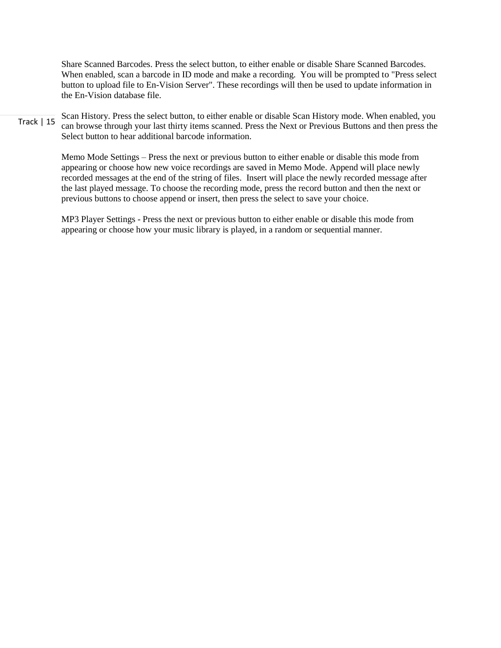Share Scanned Barcodes. Press the select button, to either enable or disable Share Scanned Barcodes. When enabled, scan a barcode in ID mode and make a recording. You will be prompted to "Press select button to upload file to En-Vision Server". These recordings will then be used to update information in the En-Vision database file.

Track | 15 Scan History. Press the select button, to either enable or disable Scan History mode. When enabled, you can browse through your last thirty items scanned. Press the Next or Previous Buttons and then press the Select button to hear additional barcode information.

> Memo Mode Settings – Press the next or previous button to either enable or disable this mode from appearing or choose how new voice recordings are saved in Memo Mode. Append will place newly recorded messages at the end of the string of files. Insert will place the newly recorded message after the last played message. To choose the recording mode, press the record button and then the next or previous buttons to choose append or insert, then press the select to save your choice.

MP3 Player Settings - Press the next or previous button to either enable or disable this mode from appearing or choose how your music library is played, in a random or sequential manner.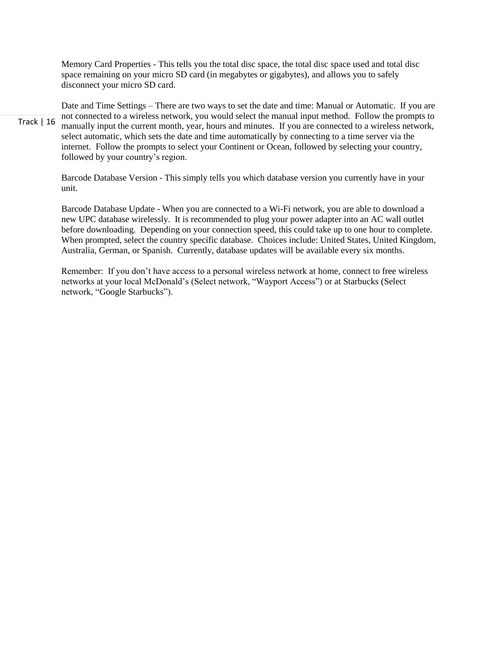Memory Card Properties - This tells you the total disc space, the total disc space used and total disc space remaining on your micro SD card (in megabytes or gigabytes), and allows you to safely disconnect your micro SD card.

Track | 16 Date and Time Settings – There are two ways to set the date and time: Manual or Automatic. If you are not connected to a wireless network, you would select the manual input method. Follow the prompts to manually input the current month, year, hours and minutes. If you are connected to a wireless network, select automatic, which sets the date and time automatically by connecting to a time server via the internet. Follow the prompts to select your Continent or Ocean, followed by selecting your country, followed by your country's region.

> Barcode Database Version - This simply tells you which database version you currently have in your unit.

Barcode Database Update - When you are connected to a Wi-Fi network, you are able to download a new UPC database wirelessly. It is recommended to plug your power adapter into an AC wall outlet before downloading. Depending on your connection speed, this could take up to one hour to complete. When prompted, select the country specific database. Choices include: United States, United Kingdom, Australia, German, or Spanish. Currently, database updates will be available every six months.

Remember: If you don't have access to a personal wireless network at home, connect to free wireless networks at your local McDonald's (Select network, "Wayport Access") or at Starbucks (Select network, "Google Starbucks").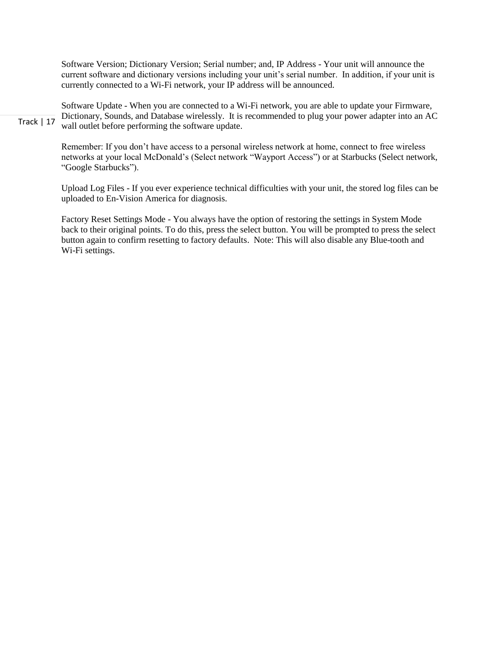Software Version; Dictionary Version; Serial number; and, IP Address - Your unit will announce the current software and dictionary versions including your unit's serial number. In addition, if your unit is currently connected to a Wi-Fi network, your IP address will be announced.

Track | 17 Software Update - When you are connected to a Wi-Fi network, you are able to update your Firmware, Dictionary, Sounds, and Database wirelessly. It is recommended to plug your power adapter into an AC wall outlet before performing the software update.

> Remember: If you don't have access to a personal wireless network at home, connect to free wireless networks at your local McDonald's (Select network "Wayport Access") or at Starbucks (Select network, "Google Starbucks").

> Upload Log Files - If you ever experience technical difficulties with your unit, the stored log files can be uploaded to En-Vision America for diagnosis.

> Factory Reset Settings Mode - You always have the option of restoring the settings in System Mode back to their original points. To do this, press the select button. You will be prompted to press the select button again to confirm resetting to factory defaults. Note: This will also disable any Blue-tooth and Wi-Fi settings.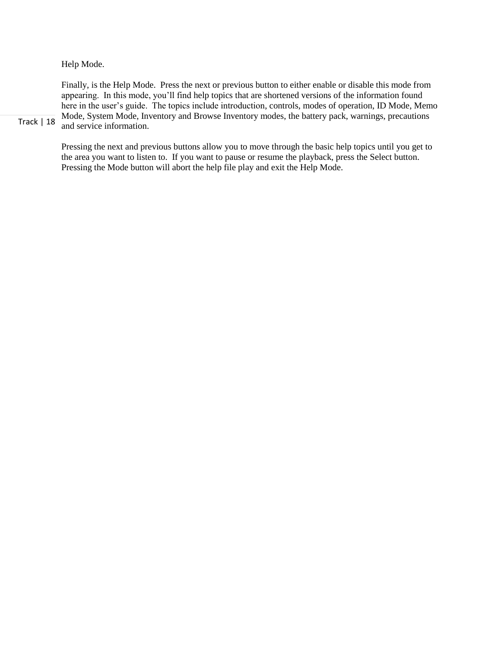Help Mode.

Track | 18 Finally, is the Help Mode. Press the next or previous button to either enable or disable this mode from appearing. In this mode, you'll find help topics that are shortened versions of the information found here in the user's guide. The topics include introduction, controls, modes of operation, ID Mode, Memo Mode, System Mode, Inventory and Browse Inventory modes, the battery pack, warnings, precautions and service information.

Pressing the next and previous buttons allow you to move through the basic help topics until you get to the area you want to listen to. If you want to pause or resume the playback, press the Select button. Pressing the Mode button will abort the help file play and exit the Help Mode.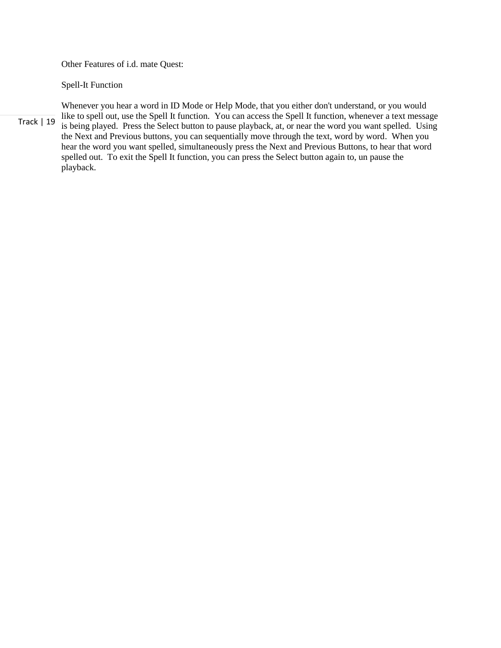Other Features of i.d. mate Quest:

Spell-It Function

Track | 19 Whenever you hear a word in ID Mode or Help Mode, that you either don't understand, or you would like to spell out, use the Spell It function. You can access the Spell It function, whenever a text message is being played. Press the Select button to pause playback, at, or near the word you want spelled. Using the Next and Previous buttons, you can sequentially move through the text, word by word. When you hear the word you want spelled, simultaneously press the Next and Previous Buttons, to hear that word spelled out. To exit the Spell It function, you can press the Select button again to, un pause the playback.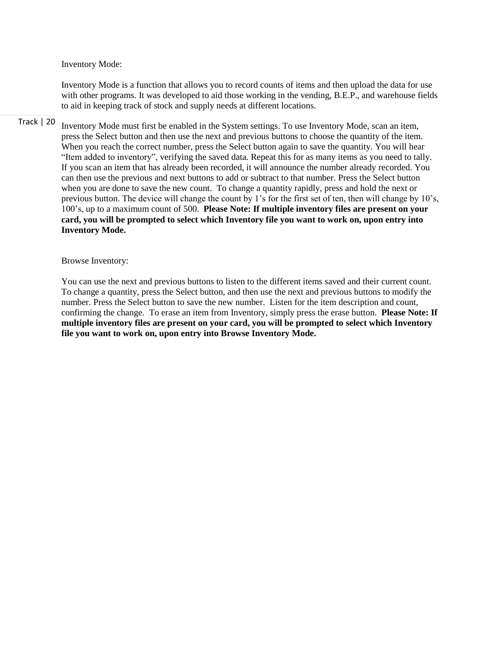Inventory Mode:

Inventory Mode is a function that allows you to record counts of items and then upload the data for use with other programs. It was developed to aid those working in the vending, B.E.P., and warehouse fields to aid in keeping track of stock and supply needs at different locations.

Track | 20 Inventory Mode must first be enabled in the System settings. To use Inventory Mode, scan an item, press the Select button and then use the next and previous buttons to choose the quantity of the item. When you reach the correct number, press the Select button again to save the quantity. You will hear "Item added to inventory", verifying the saved data. Repeat this for as many items as you need to tally. If you scan an item that has already been recorded, it will announce the number already recorded. You can then use the previous and next buttons to add or subtract to that number. Press the Select button when you are done to save the new count. To change a quantity rapidly, press and hold the next or previous button. The device will change the count by 1's for the first set of ten, then will change by 10's, 100's, up to a maximum count of 500. **Please Note: If multiple inventory files are present on your card, you will be prompted to select which Inventory file you want to work on, upon entry into Inventory Mode.**

Browse Inventory:

You can use the next and previous buttons to listen to the different items saved and their current count. To change a quantity, press the Select button, and then use the next and previous buttons to modify the number. Press the Select button to save the new number. Listen for the item description and count, confirming the change. To erase an item from Inventory, simply press the erase button. **Please Note: If multiple inventory files are present on your card, you will be prompted to select which Inventory file you want to work on, upon entry into Browse Inventory Mode.**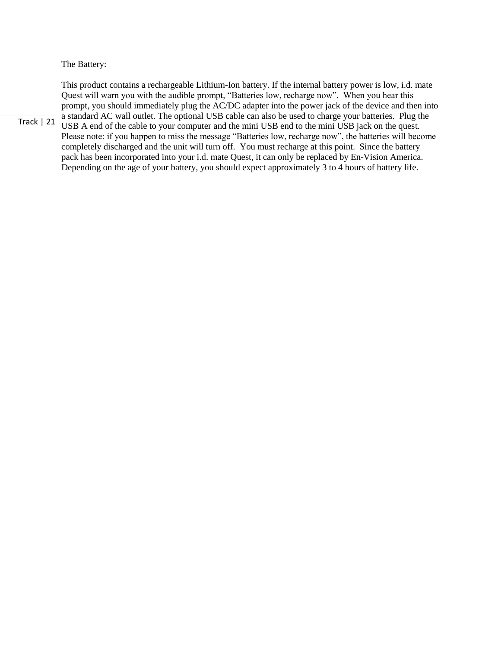The Battery:

This product contains a rechargeable Lithium-Ion battery. If the internal battery power is low, i.d. mate Quest will warn you with the audible prompt, "Batteries low, recharge now". When you hear this prompt, you should immediately plug the AC/DC adapter into the power jack of the device and then into a standard AC wall outlet. The optional USB cable can also be used to charge your batteries. Plug the USB A end of the cable to your computer and the mini USB end to the mini USB jack on the quest.

Track | 21

Please note: if you happen to miss the message "Batteries low, recharge now", the batteries will become completely discharged and the unit will turn off. You must recharge at this point. Since the battery pack has been incorporated into your i.d. mate Quest, it can only be replaced by En-Vision America. Depending on the age of your battery, you should expect approximately 3 to 4 hours of battery life.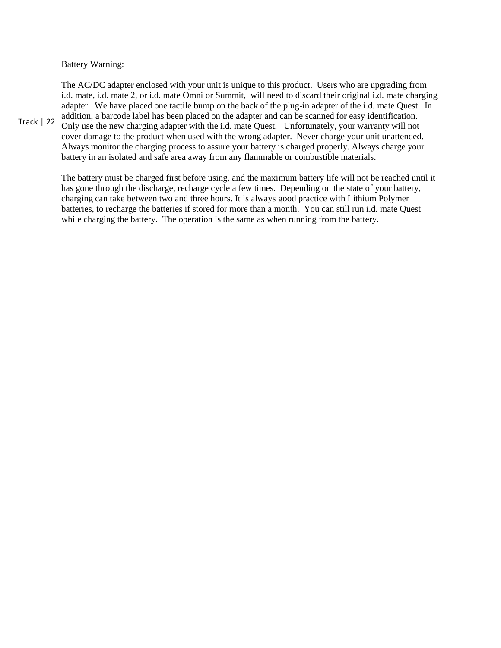Battery Warning:

The AC/DC adapter enclosed with your unit is unique to this product. Users who are upgrading from i.d. mate, i.d. mate 2, or i.d. mate Omni or Summit, will need to discard their original i.d. mate charging adapter. We have placed one tactile bump on the back of the plug-in adapter of the i.d. mate Quest. In addition, a barcode label has been placed on the adapter and can be scanned for easy identification. Only use the new charging adapter with the i.d. mate Quest. Unfortunately, your warranty will not cover damage to the product when used with the wrong adapter. Never charge your unit unattended. Always monitor the charging process to assure your battery is charged properly. Always charge your battery in an isolated and safe area away from any flammable or combustible materials.

The battery must be charged first before using, and the maximum battery life will not be reached until it has gone through the discharge, recharge cycle a few times. Depending on the state of your battery, charging can take between two and three hours. It is always good practice with Lithium Polymer batteries, to recharge the batteries if stored for more than a month. You can still run i.d. mate Quest while charging the battery. The operation is the same as when running from the battery.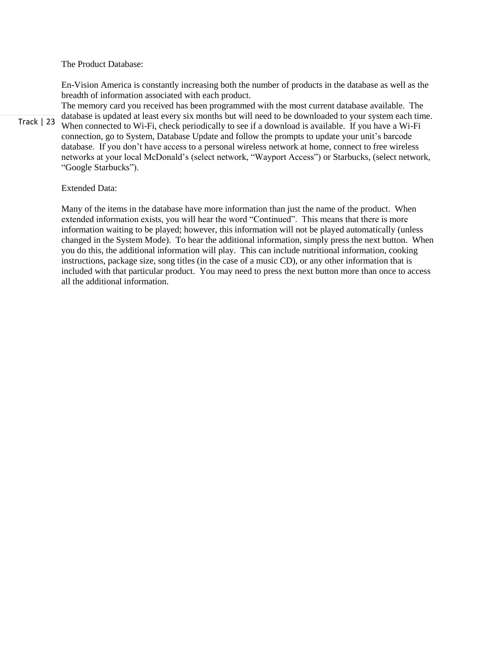The Product Database:

En-Vision America is constantly increasing both the number of products in the database as well as the breadth of information associated with each product.

Track | 23 The memory card you received has been programmed with the most current database available. The database is updated at least every six months but will need to be downloaded to your system each time. When connected to Wi-Fi, check periodically to see if a download is available. If you have a Wi-Fi connection, go to System, Database Update and follow the prompts to update your unit's barcode database. If you don't have access to a personal wireless network at home, connect to free wireless networks at your local McDonald's (select network, "Wayport Access") or Starbucks, (select network, "Google Starbucks").

## Extended Data:

Many of the items in the database have more information than just the name of the product. When extended information exists, you will hear the word "Continued". This means that there is more information waiting to be played; however, this information will not be played automatically (unless changed in the System Mode). To hear the additional information, simply press the next button. When you do this, the additional information will play. This can include nutritional information, cooking instructions, package size, song titles (in the case of a music CD), or any other information that is included with that particular product. You may need to press the next button more than once to access all the additional information.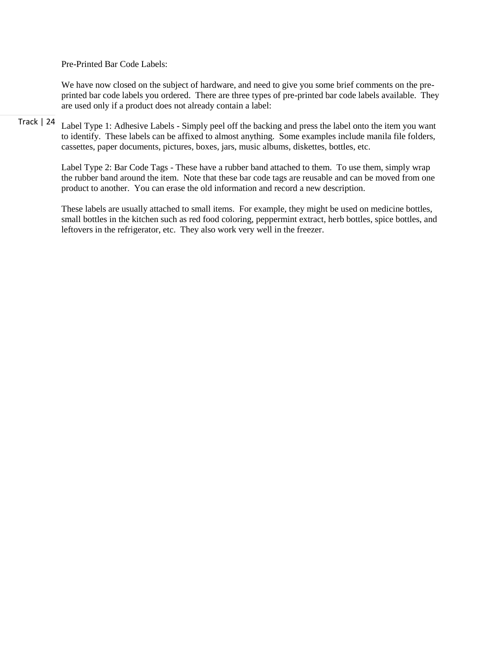Pre-Printed Bar Code Labels:

We have now closed on the subject of hardware, and need to give you some brief comments on the preprinted bar code labels you ordered. There are three types of pre-printed bar code labels available. They are used only if a product does not already contain a label:

Track | 24 Label Type 1: Adhesive Labels - Simply peel off the backing and press the label onto the item you want to identify. These labels can be affixed to almost anything. Some examples include manila file folders, cassettes, paper documents, pictures, boxes, jars, music albums, diskettes, bottles, etc.

> Label Type 2: Bar Code Tags - These have a rubber band attached to them. To use them, simply wrap the rubber band around the item. Note that these bar code tags are reusable and can be moved from one product to another. You can erase the old information and record a new description.

> These labels are usually attached to small items. For example, they might be used on medicine bottles, small bottles in the kitchen such as red food coloring, peppermint extract, herb bottles, spice bottles, and leftovers in the refrigerator, etc. They also work very well in the freezer.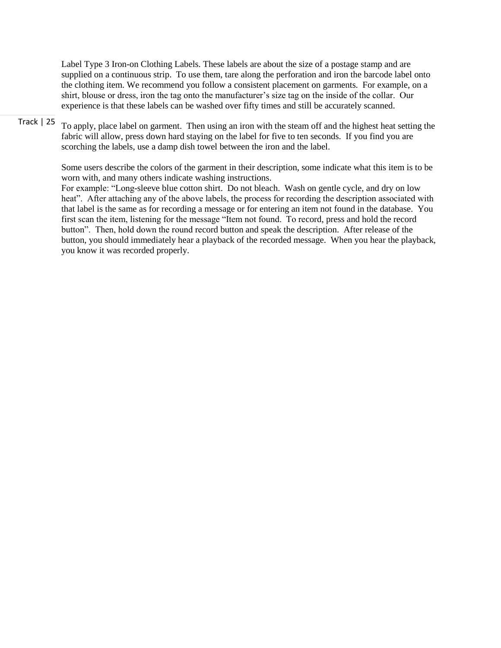Label Type 3 Iron-on Clothing Labels. These labels are about the size of a postage stamp and are supplied on a continuous strip. To use them, tare along the perforation and iron the barcode label onto the clothing item. We recommend you follow a consistent placement on garments. For example, on a shirt, blouse or dress, iron the tag onto the manufacturer's size tag on the inside of the collar. Our experience is that these labels can be washed over fifty times and still be accurately scanned.

# Track | 25

To apply, place label on garment. Then using an iron with the steam off and the highest heat setting the fabric will allow, press down hard staying on the label for five to ten seconds. If you find you are scorching the labels, use a damp dish towel between the iron and the label.

Some users describe the colors of the garment in their description, some indicate what this item is to be worn with, and many others indicate washing instructions.

For example: "Long-sleeve blue cotton shirt. Do not bleach. Wash on gentle cycle, and dry on low heat". After attaching any of the above labels, the process for recording the description associated with that label is the same as for recording a message or for entering an item not found in the database. You first scan the item, listening for the message "Item not found. To record, press and hold the record button". Then, hold down the round record button and speak the description. After release of the button, you should immediately hear a playback of the recorded message. When you hear the playback, you know it was recorded properly.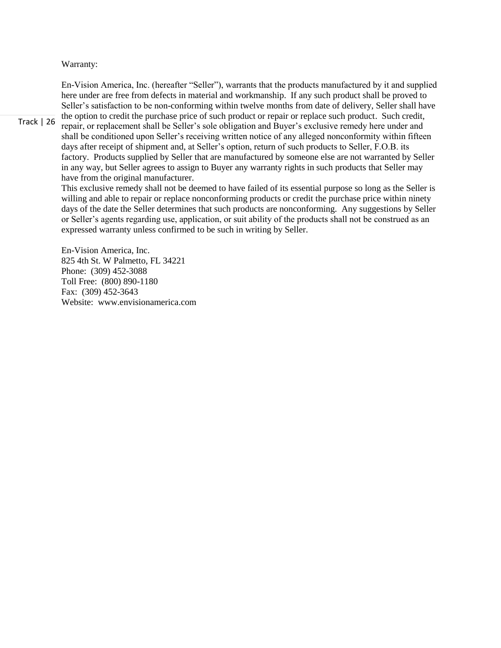## Warranty:

En-Vision America, Inc. (hereafter "Seller"), warrants that the products manufactured by it and supplied here under are free from defects in material and workmanship. If any such product shall be proved to Seller's satisfaction to be non-conforming within twelve months from date of delivery, Seller shall have the option to credit the purchase price of such product or repair or replace such product. Such credit,

repair, or replacement shall be Seller's sole obligation and Buyer's exclusive remedy here under and shall be conditioned upon Seller's receiving written notice of any alleged nonconformity within fifteen days after receipt of shipment and, at Seller's option, return of such products to Seller, F.O.B. its factory. Products supplied by Seller that are manufactured by someone else are not warranted by Seller in any way, but Seller agrees to assign to Buyer any warranty rights in such products that Seller may have from the original manufacturer.

This exclusive remedy shall not be deemed to have failed of its essential purpose so long as the Seller is willing and able to repair or replace nonconforming products or credit the purchase price within ninety days of the date the Seller determines that such products are nonconforming. Any suggestions by Seller or Seller's agents regarding use, application, or suit ability of the products shall not be construed as an expressed warranty unless confirmed to be such in writing by Seller.

En-Vision America, Inc. 825 4th St. W Palmetto, FL 34221 Phone: (309) 452-3088 Toll Free: (800) 890-1180 Fax: (309) 452-3643 Website: www.envisionamerica.com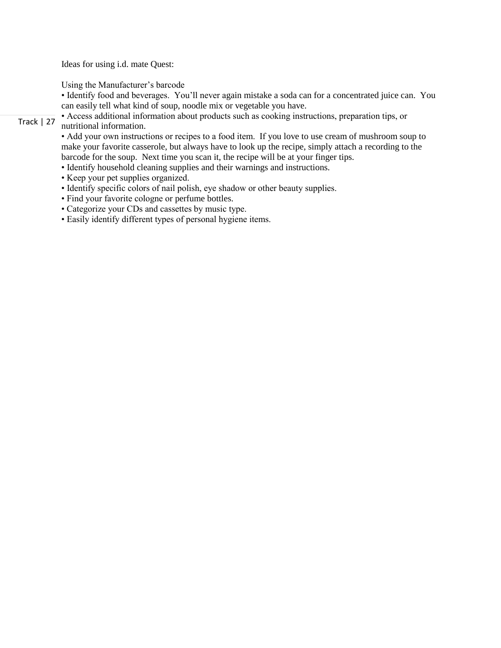Ideas for using i.d. mate Quest:

Using the Manufacturer's barcode

• Identify food and beverages. You'll never again mistake a soda can for a concentrated juice can. You can easily tell what kind of soup, noodle mix or vegetable you have.

#### Track | 27 • Access additional information about products such as cooking instructions, preparation tips, or nutritional information.

• Add your own instructions or recipes to a food item. If you love to use cream of mushroom soup to make your favorite casserole, but always have to look up the recipe, simply attach a recording to the barcode for the soup. Next time you scan it, the recipe will be at your finger tips.

- Identify household cleaning supplies and their warnings and instructions.
- Keep your pet supplies organized.
- Identify specific colors of nail polish, eye shadow or other beauty supplies.
- Find your favorite cologne or perfume bottles.
- Categorize your CDs and cassettes by music type.
- Easily identify different types of personal hygiene items.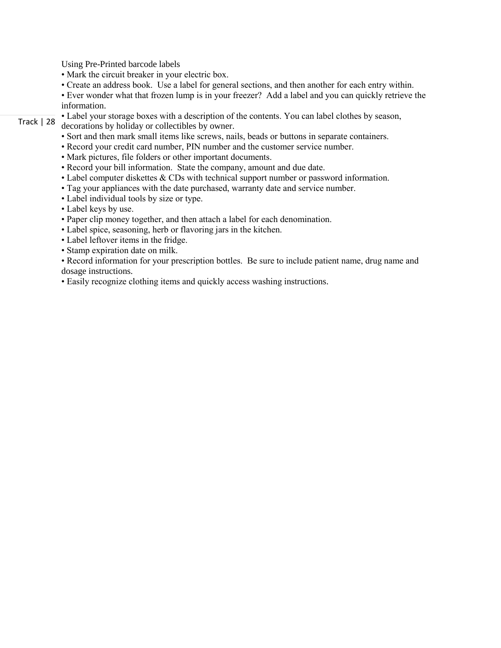Using Pre-Printed barcode labels

- Mark the circuit breaker in your electric box.
- Create an address book. Use a label for general sections, and then another for each entry within.
- Ever wonder what that frozen lump is in your freezer? Add a label and you can quickly retrieve the information.
- Track | 28 • Label your storage boxes with a description of the contents. You can label clothes by season,

decorations by holiday or collectibles by owner.

- Sort and then mark small items like screws, nails, beads or buttons in separate containers.
- Record your credit card number, PIN number and the customer service number.
- Mark pictures, file folders or other important documents.
- Record your bill information. State the company, amount and due date.
- Label computer diskettes & CDs with technical support number or password information.
- Tag your appliances with the date purchased, warranty date and service number.
- Label individual tools by size or type.
- Label keys by use.
- Paper clip money together, and then attach a label for each denomination.
- Label spice, seasoning, herb or flavoring jars in the kitchen.
- Label leftover items in the fridge.
- Stamp expiration date on milk.
- Record information for your prescription bottles. Be sure to include patient name, drug name and dosage instructions.
- Easily recognize clothing items and quickly access washing instructions.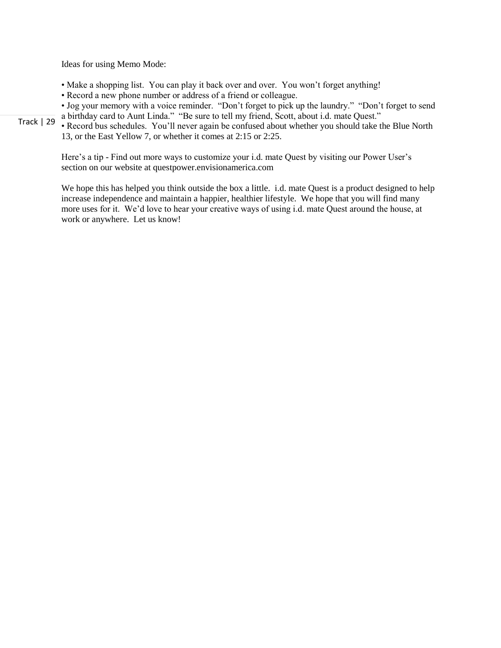Ideas for using Memo Mode:

- Make a shopping list. You can play it back over and over. You won't forget anything!
- Record a new phone number or address of a friend or colleague.

• Jog your memory with a voice reminder. "Don't forget to pick up the laundry." "Don't forget to send a birthday card to Aunt Linda." "Be sure to tell my friend, Scott, about i.d. mate Quest."

• Record bus schedules. You'll never again be confused about whether you should take the Blue North 13, or the East Yellow 7, or whether it comes at 2:15 or 2:25.

Here's a tip - Find out more ways to customize your i.d. mate Quest by visiting our Power User's section on our website at questpower.envisionamerica.com

We hope this has helped you think outside the box a little. i.d. mate Quest is a product designed to help increase independence and maintain a happier, healthier lifestyle. We hope that you will find many more uses for it. We'd love to hear your creative ways of using i.d. mate Quest around the house, at work or anywhere. Let us know!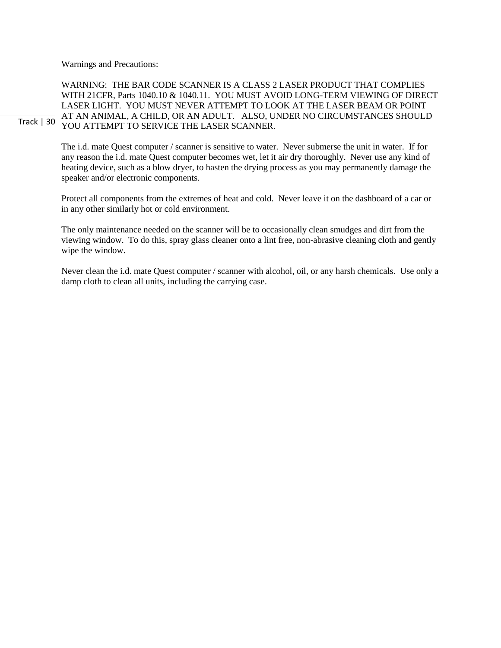Warnings and Precautions:

Track | 30 WARNING: THE BAR CODE SCANNER IS A CLASS 2 LASER PRODUCT THAT COMPLIES WITH 21CFR, Parts 1040.10 & 1040.11. YOU MUST AVOID LONG-TERM VIEWING OF DIRECT LASER LIGHT. YOU MUST NEVER ATTEMPT TO LOOK AT THE LASER BEAM OR POINT AT AN ANIMAL, A CHILD, OR AN ADULT. ALSO, UNDER NO CIRCUMSTANCES SHOULD YOU ATTEMPT TO SERVICE THE LASER SCANNER.

> The i.d. mate Quest computer / scanner is sensitive to water. Never submerse the unit in water. If for any reason the i.d. mate Quest computer becomes wet, let it air dry thoroughly. Never use any kind of heating device, such as a blow dryer, to hasten the drying process as you may permanently damage the speaker and/or electronic components.

> Protect all components from the extremes of heat and cold. Never leave it on the dashboard of a car or in any other similarly hot or cold environment.

The only maintenance needed on the scanner will be to occasionally clean smudges and dirt from the viewing window. To do this, spray glass cleaner onto a lint free, non-abrasive cleaning cloth and gently wipe the window.

Never clean the i.d. mate Quest computer / scanner with alcohol, oil, or any harsh chemicals. Use only a damp cloth to clean all units, including the carrying case.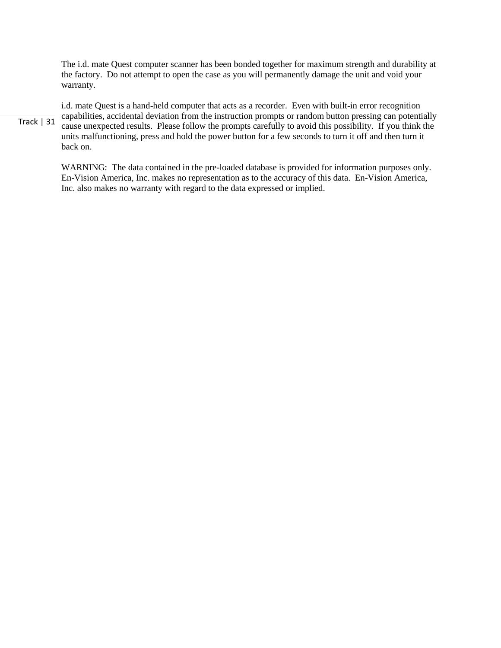The i.d. mate Quest computer scanner has been bonded together for maximum strength and durability at the factory. Do not attempt to open the case as you will permanently damage the unit and void your warranty.

Track | 31 i.d. mate Quest is a hand-held computer that acts as a recorder. Even with built-in error recognition capabilities, accidental deviation from the instruction prompts or random button pressing can potentially cause unexpected results. Please follow the prompts carefully to avoid this possibility. If you think the units malfunctioning, press and hold the power button for a few seconds to turn it off and then turn it back on.

> WARNING: The data contained in the pre-loaded database is provided for information purposes only. En-Vision America, Inc. makes no representation as to the accuracy of this data. En-Vision America, Inc. also makes no warranty with regard to the data expressed or implied.